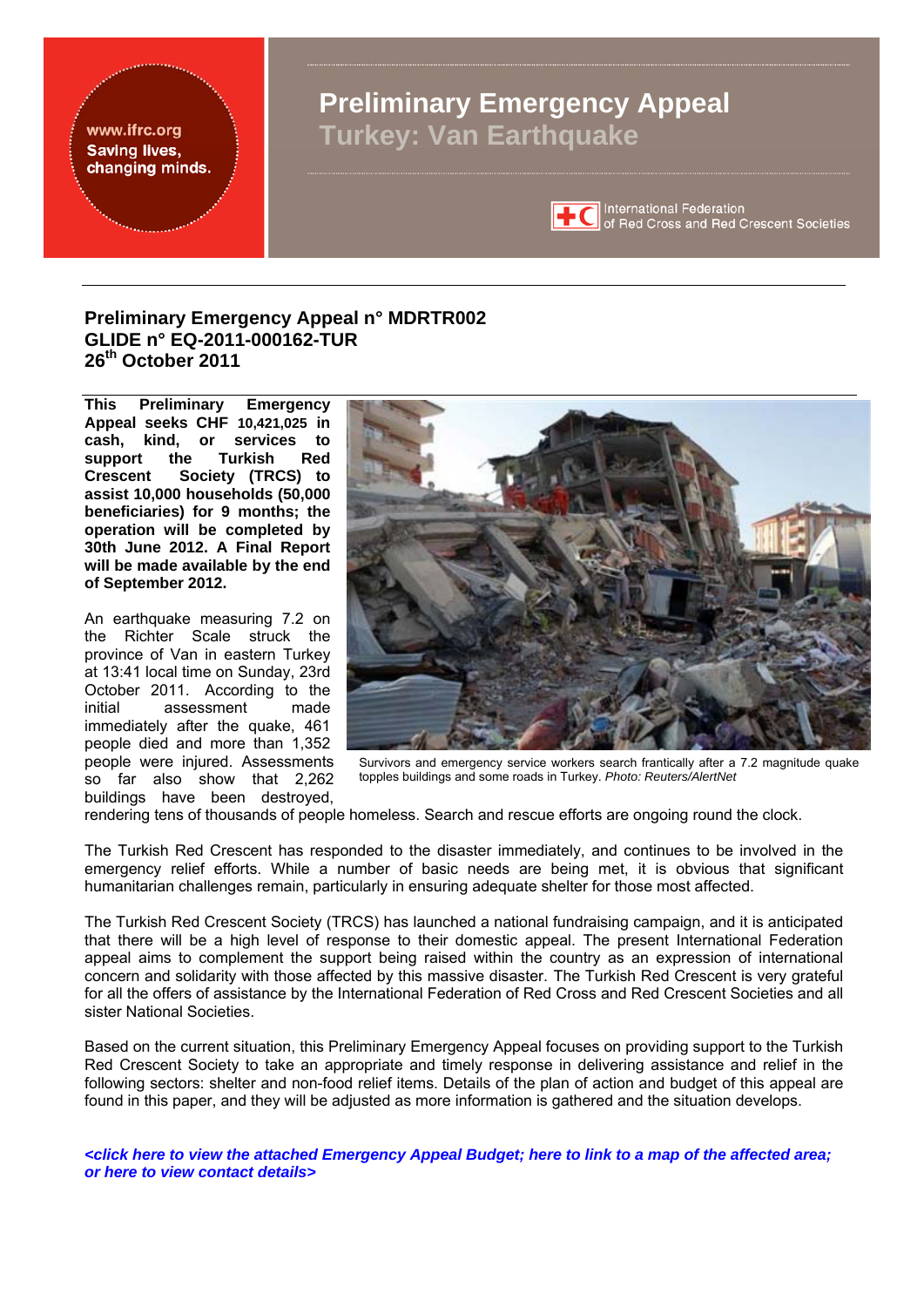<span id="page-0-0"></span>

# **Preliminary Emergency Appeal n° MDRTR002 GLIDE n° EQ-2011-000162-TUR 26th October 2011**

**This Preliminary Emergency Appeal seeks CHF 10,421,025 in cash, kind, or services to support the Turkish Red Crescent Society (TRCS) to assist 10,000 households (50,000 beneficiaries) for 9 months; the operation will be completed by 30th June 2012. A Final Report will be made available by the end of September 2012.** 

An earthquake measuring 7.2 on the Richter Scale struck the province of Van in eastern Turkey at 13:41 local time on Sunday, 23rd October 2011. According to the initial assessment made assessment immediately after the quake, 461 people died and more than 1,352 people were injured. Assessments so far also show that 2,262 buildings have been destroyed,



Survivors and emergency service workers search frantically after a 7.2 magnitude quake topples buildings and some roads in Turkey. *Photo: Reuters/AlertNet*

rendering tens of thousands of people homeless. Search and rescue efforts are ongoing round the clock.

The Turkish Red Crescent has responded to the disaster immediately, and continues to be involved in the emergency relief efforts. While a number of basic needs are being met, it is obvious that significant humanitarian challenges remain, particularly in ensuring adequate shelter for those most affected.

The Turkish Red Crescent Society (TRCS) has launched a national fundraising campaign, and it is anticipated that there will be a high level of response to their domestic appeal. The present International Federation appeal aims to complement the support being raised within the country as an expression of international concern and solidarity with those affected by this massive disaster. The Turkish Red Crescent is very grateful for all the offers of assistance by the International Federation of Red Cross and Red Crescent Societies and all sister National Societies.

Based on the current situation, this Preliminary Emergency Appeal focuses on providing support to the Turkish Red Crescent Society to take an appropriate and timely response in delivering assistance and relief in the following sectors: shelter and non-food relief items. Details of the plan of action and budget of this appeal are found in this paper, and they will be adjusted as more information is gathered and the situation develops.

*[<click here to view the attached Emergency Appeal Budget;](#page-8-0) [here to link to a map of the affected area;](#page-10-0) [or here to view contact details>](#page-6-0)*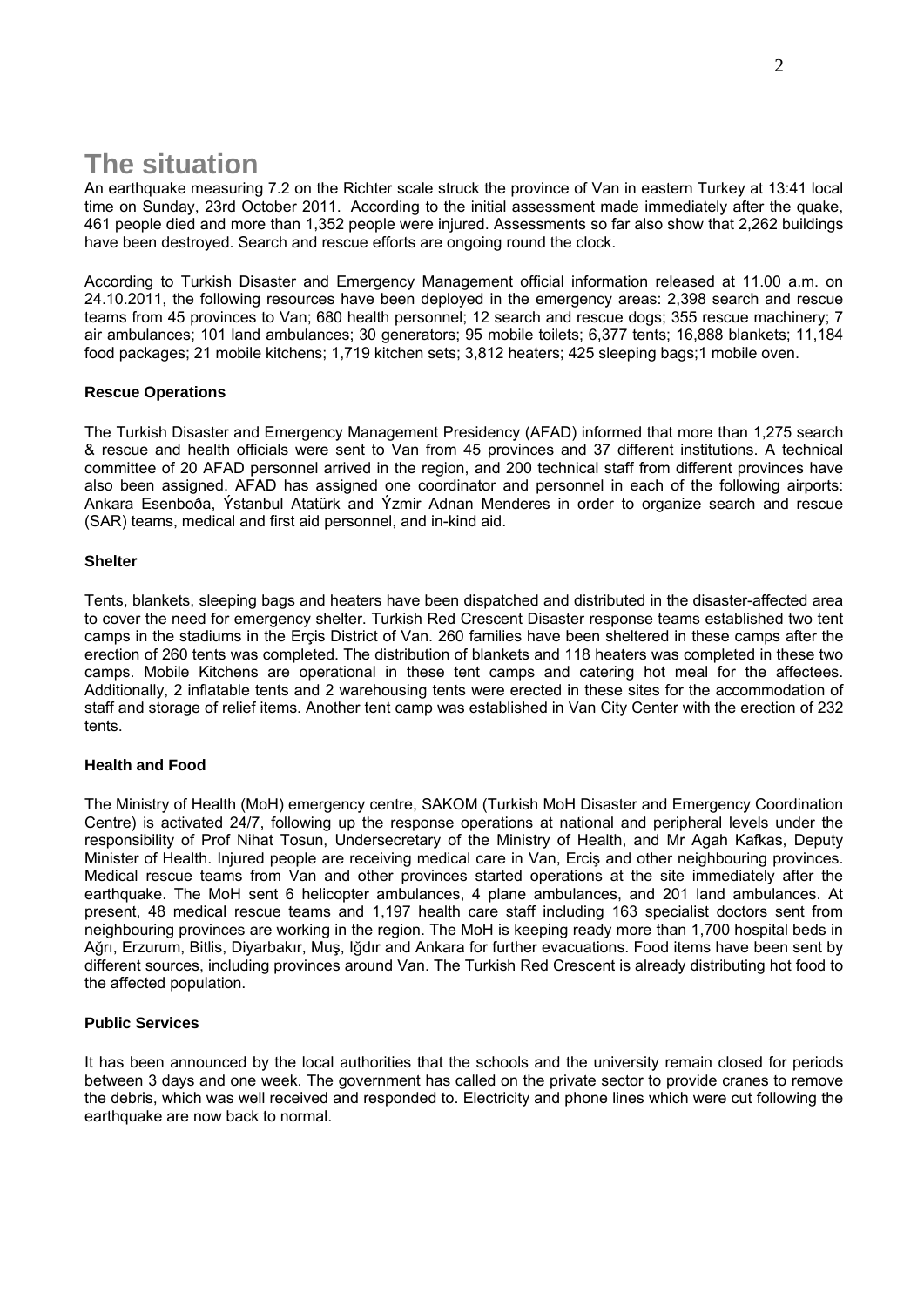# **The situation**

An earthquake measuring 7.2 on the Richter scale struck the province of Van in eastern Turkey at 13:41 local time on Sunday, 23rd October 2011. According to the initial assessment made immediately after the quake, 461 people died and more than 1,352 people were injured. Assessments so far also show that 2,262 buildings have been destroyed. Search and rescue efforts are ongoing round the clock.

According to Turkish Disaster and Emergency Management official information released at 11.00 a.m. on 24.10.2011, the following resources have been deployed in the emergency areas: 2,398 search and rescue teams from 45 provinces to Van; 680 health personnel; 12 search and rescue dogs; 355 rescue machinery; 7 air ambulances; 101 land ambulances; 30 generators; 95 mobile toilets; 6,377 tents; 16,888 blankets; 11,184 food packages; 21 mobile kitchens; 1,719 kitchen sets; 3,812 heaters; 425 sleeping bags;1 mobile oven.

#### **Rescue Operations**

The Turkish Disaster and Emergency Management Presidency (AFAD) informed that more than 1,275 search & rescue and health officials were sent to Van from 45 provinces and 37 different institutions. A technical committee of 20 AFAD personnel arrived in the region, and 200 technical staff from different provinces have also been assigned. AFAD has assigned one coordinator and personnel in each of the following airports: Ankara Esenboða, Ýstanbul Atatürk and Ýzmir Adnan Menderes in order to organize search and rescue (SAR) teams, medical and first aid personnel, and in-kind aid.

#### **Shelter**

Tents, blankets, sleeping bags and heaters have been dispatched and distributed in the disaster-affected area to cover the need for emergency shelter. Turkish Red Crescent Disaster response teams established two tent camps in the stadiums in the Erçis District of Van. 260 families have been sheltered in these camps after the erection of 260 tents was completed. The distribution of blankets and 118 heaters was completed in these two camps. Mobile Kitchens are operational in these tent camps and catering hot meal for the affectees. Additionally, 2 inflatable tents and 2 warehousing tents were erected in these sites for the accommodation of staff and storage of relief items. Another tent camp was established in Van City Center with the erection of 232 tents.

#### **Health and Food**

The Ministry of Health (MoH) emergency centre, SAKOM (Turkish MoH Disaster and Emergency Coordination Centre) is activated 24/7, following up the response operations at national and peripheral levels under the responsibility of Prof Nihat Tosun, Undersecretary of the Ministry of Health, and Mr Agah Kafkas, Deputy Minister of Health. Injured people are receiving medical care in Van, Erciş and other neighbouring provinces. Medical rescue teams from Van and other provinces started operations at the site immediately after the earthquake. The MoH sent 6 helicopter ambulances, 4 plane ambulances, and 201 land ambulances. At present, 48 medical rescue teams and 1,197 health care staff including 163 specialist doctors sent from neighbouring provinces are working in the region. The MoH is keeping ready more than 1,700 hospital beds in Ağrı, Erzurum, Bitlis, Diyarbakır, Muş, Iğdır and Ankara for further evacuations. Food items have been sent by different sources, including provinces around Van. The Turkish Red Crescent is already distributing hot food to the affected population.

#### **Public Services**

It has been announced by the local authorities that the schools and the university remain closed for periods between 3 days and one week. The government has called on the private sector to provide cranes to remove the debris, which was well received and responded to. Electricity and phone lines which were cut following the earthquake are now back to normal.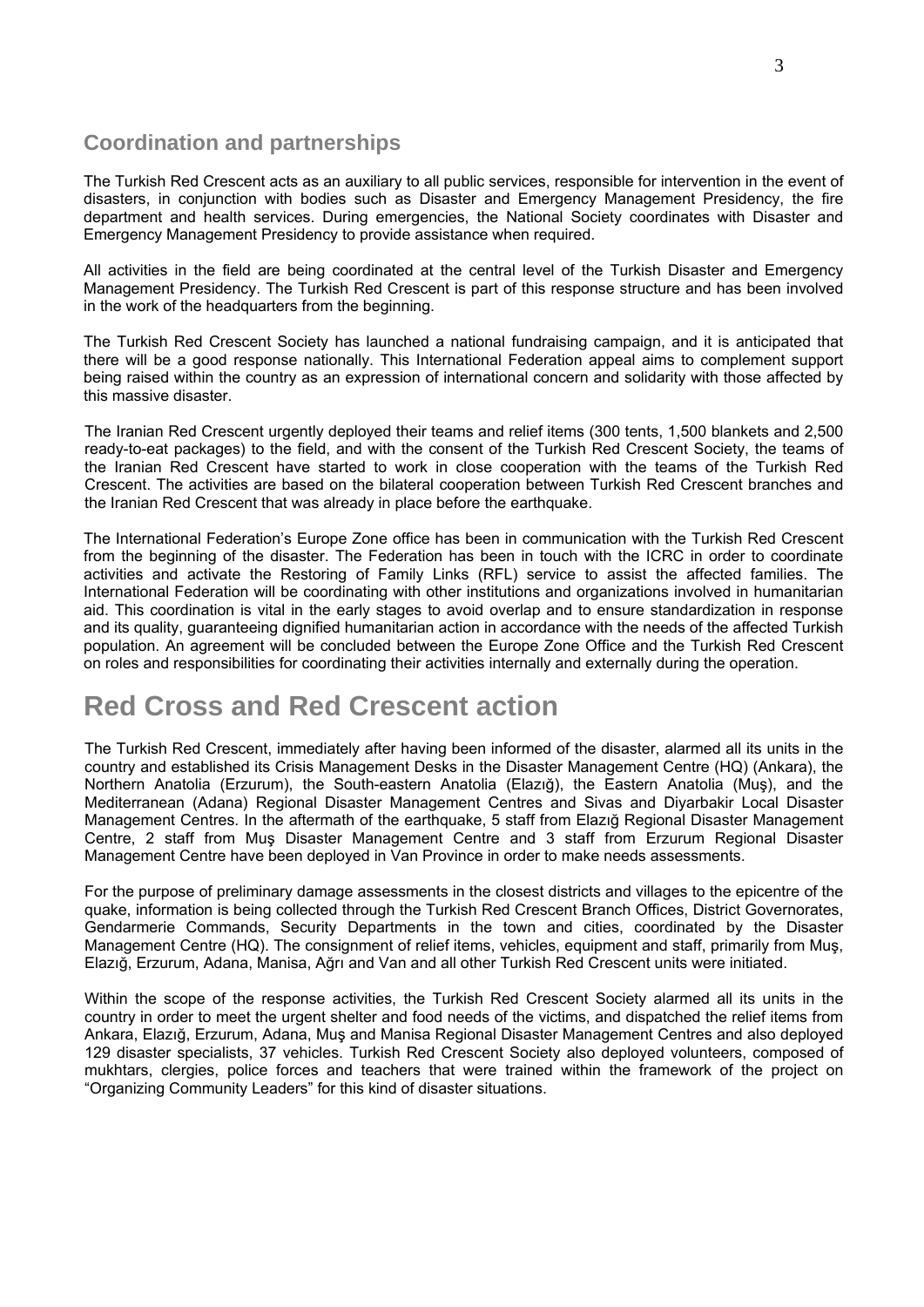# **Coordination and partnerships**

The Turkish Red Crescent acts as an auxiliary to all public services, responsible for intervention in the event of disasters, in conjunction with bodies such as Disaster and Emergency Management Presidency, the fire department and health services. During emergencies, the National Society coordinates with Disaster and Emergency Management Presidency to provide assistance when required.

All activities in the field are being coordinated at the central level of the Turkish Disaster and Emergency Management Presidency. The Turkish Red Crescent is part of this response structure and has been involved in the work of the headquarters from the beginning.

The Turkish Red Crescent Society has launched a national fundraising campaign, and it is anticipated that there will be a good response nationally. This International Federation appeal aims to complement support being raised within the country as an expression of international concern and solidarity with those affected by this massive disaster.

The Iranian Red Crescent urgently deployed their teams and relief items (300 tents, 1,500 blankets and 2,500 ready-to-eat packages) to the field, and with the consent of the Turkish Red Crescent Society, the teams of the Iranian Red Crescent have started to work in close cooperation with the teams of the Turkish Red Crescent. The activities are based on the bilateral cooperation between Turkish Red Crescent branches and the Iranian Red Crescent that was already in place before the earthquake.

The International Federation's Europe Zone office has been in communication with the Turkish Red Crescent from the beginning of the disaster. The Federation has been in touch with the ICRC in order to coordinate activities and activate the Restoring of Family Links (RFL) service to assist the affected families. The International Federation will be coordinating with other institutions and organizations involved in humanitarian aid. This coordination is vital in the early stages to avoid overlap and to ensure standardization in response and its quality, guaranteeing dignified humanitarian action in accordance with the needs of the affected Turkish population. An agreement will be concluded between the Europe Zone Office and the Turkish Red Crescent on roles and responsibilities for coordinating their activities internally and externally during the operation.

# **Red Cross and Red Crescent action**

The Turkish Red Crescent, immediately after having been informed of the disaster, alarmed all its units in the country and established its Crisis Management Desks in the Disaster Management Centre (HQ) (Ankara), the Northern Anatolia (Erzurum), the South-eastern Anatolia (Elazığ), the Eastern Anatolia (Muş), and the Mediterranean (Adana) Regional Disaster Management Centres and Sivas and Diyarbakir Local Disaster Management Centres. In the aftermath of the earthquake, 5 staff from Elazığ Regional Disaster Management Centre, 2 staff from Muş Disaster Management Centre and 3 staff from Erzurum Regional Disaster Management Centre have been deployed in Van Province in order to make needs assessments.

For the purpose of preliminary damage assessments in the closest districts and villages to the epicentre of the quake, information is being collected through the Turkish Red Crescent Branch Offices, District Governorates, Gendarmerie Commands, Security Departments in the town and cities, coordinated by the Disaster Management Centre (HQ). The consignment of relief items, vehicles, equipment and staff, primarily from Muş, Elazığ, Erzurum, Adana, Manisa, Ağrı and Van and all other Turkish Red Crescent units were initiated.

Within the scope of the response activities, the Turkish Red Crescent Society alarmed all its units in the country in order to meet the urgent shelter and food needs of the victims, and dispatched the relief items from Ankara, Elazığ, Erzurum, Adana, Muş and Manisa Regional Disaster Management Centres and also deployed 129 disaster specialists, 37 vehicles. Turkish Red Crescent Society also deployed volunteers, composed of mukhtars, clergies, police forces and teachers that were trained within the framework of the project on "Organizing Community Leaders" for this kind of disaster situations.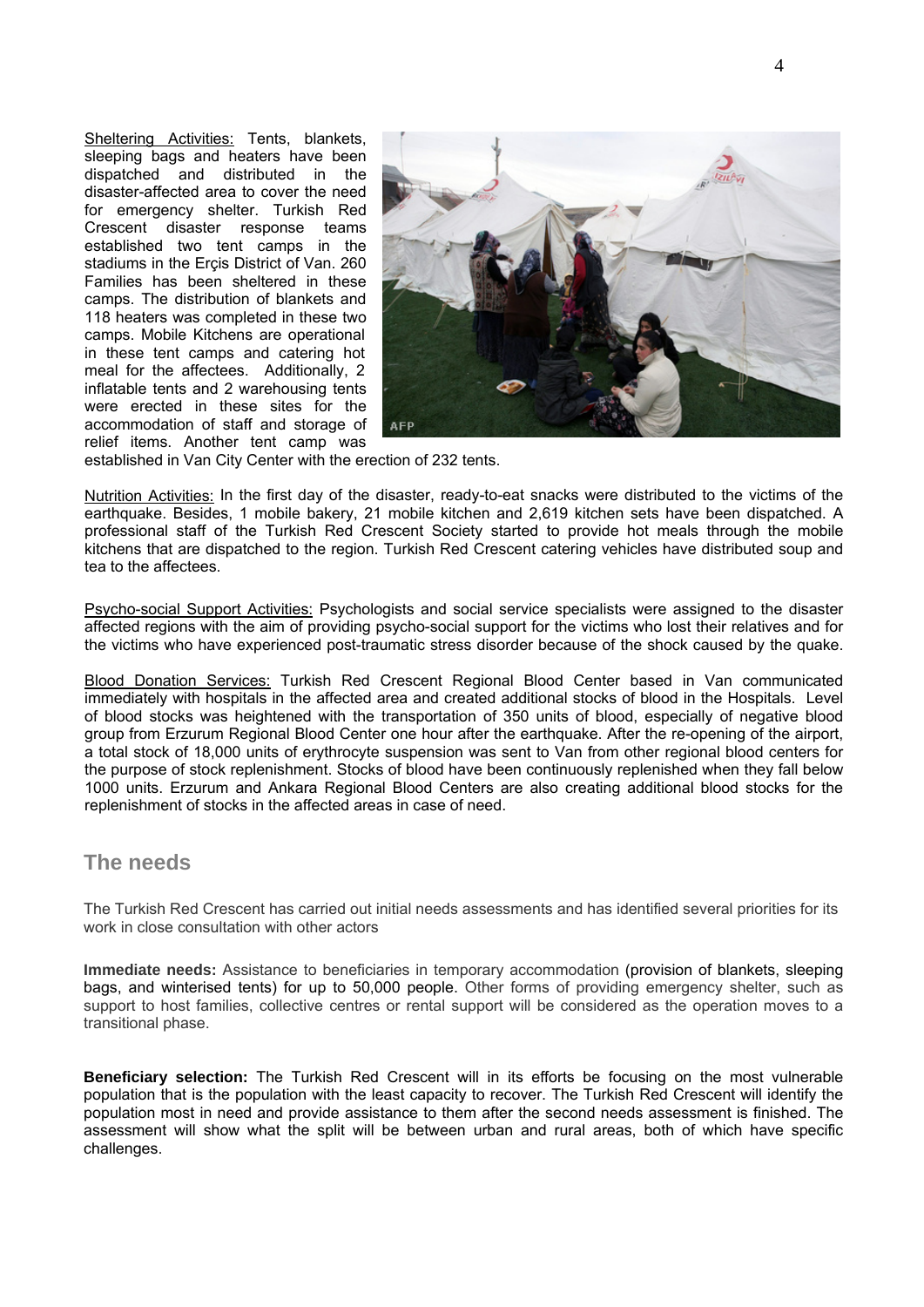Sheltering Activities: Tents, blankets, sleeping bags and heaters have been dispatched and distributed in the disaster-affected area to cover the need for emergency shelter. Turkish Red Crescent disaster response teams established two tent camps in the stadiums in the Erçis District of Van. 260 Families has been sheltered in these camps. The distribution of blankets and 118 heaters was completed in these two camps. Mobile Kitchens are operational in these tent camps and catering hot meal for the affectees. Additionally, 2 inflatable tents and 2 warehousing tents were erected in these sites for the accommodation of staff and storage of relief items. Another tent camp was



established in Van City Center with the erection of 232 tents.

Nutrition Activities: In the first day of the disaster, ready-to-eat snacks were distributed to the victims of the earthquake. Besides, 1 mobile bakery, 21 mobile kitchen and 2,619 kitchen sets have been dispatched. A professional staff of the Turkish Red Crescent Society started to provide hot meals through the mobile kitchens that are dispatched to the region. Turkish Red Crescent catering vehicles have distributed soup and tea to the affectees.

Psycho-social Support Activities: Psychologists and social service specialists were assigned to the disaster affected regions with the aim of providing psycho-social support for the victims who lost their relatives and for the victims who have experienced post-traumatic stress disorder because of the shock caused by the quake.

Blood Donation Services: Turkish Red Crescent Regional Blood Center based in Van communicated immediately with hospitals in the affected area and created additional stocks of blood in the Hospitals. Level of blood stocks was heightened with the transportation of 350 units of blood, especially of negative blood group from Erzurum Regional Blood Center one hour after the earthquake. After the re-opening of the airport, a total stock of 18,000 units of erythrocyte suspension was sent to Van from other regional blood centers for the purpose of stock replenishment. Stocks of blood have been continuously replenished when they fall below 1000 units. Erzurum and Ankara Regional Blood Centers are also creating additional blood stocks for the replenishment of stocks in the affected areas in case of need.

## **The needs**

The Turkish Red Crescent has carried out initial needs assessments and has identified several priorities for its work in close consultation with other actors

**Immediate needs:** Assistance to beneficiaries in temporary accommodation (provision of blankets, sleeping bags, and winterised tents) for up to 50,000 people. Other forms of providing emergency shelter, such as support to host families, collective centres or rental support will be considered as the operation moves to a transitional phase.

**Beneficiary selection:** The Turkish Red Crescent will in its efforts be focusing on the most vulnerable population that is the population with the least capacity to recover. The Turkish Red Crescent will identify the population most in need and provide assistance to them after the second needs assessment is finished. The assessment will show what the split will be between urban and rural areas, both of which have specific challenges.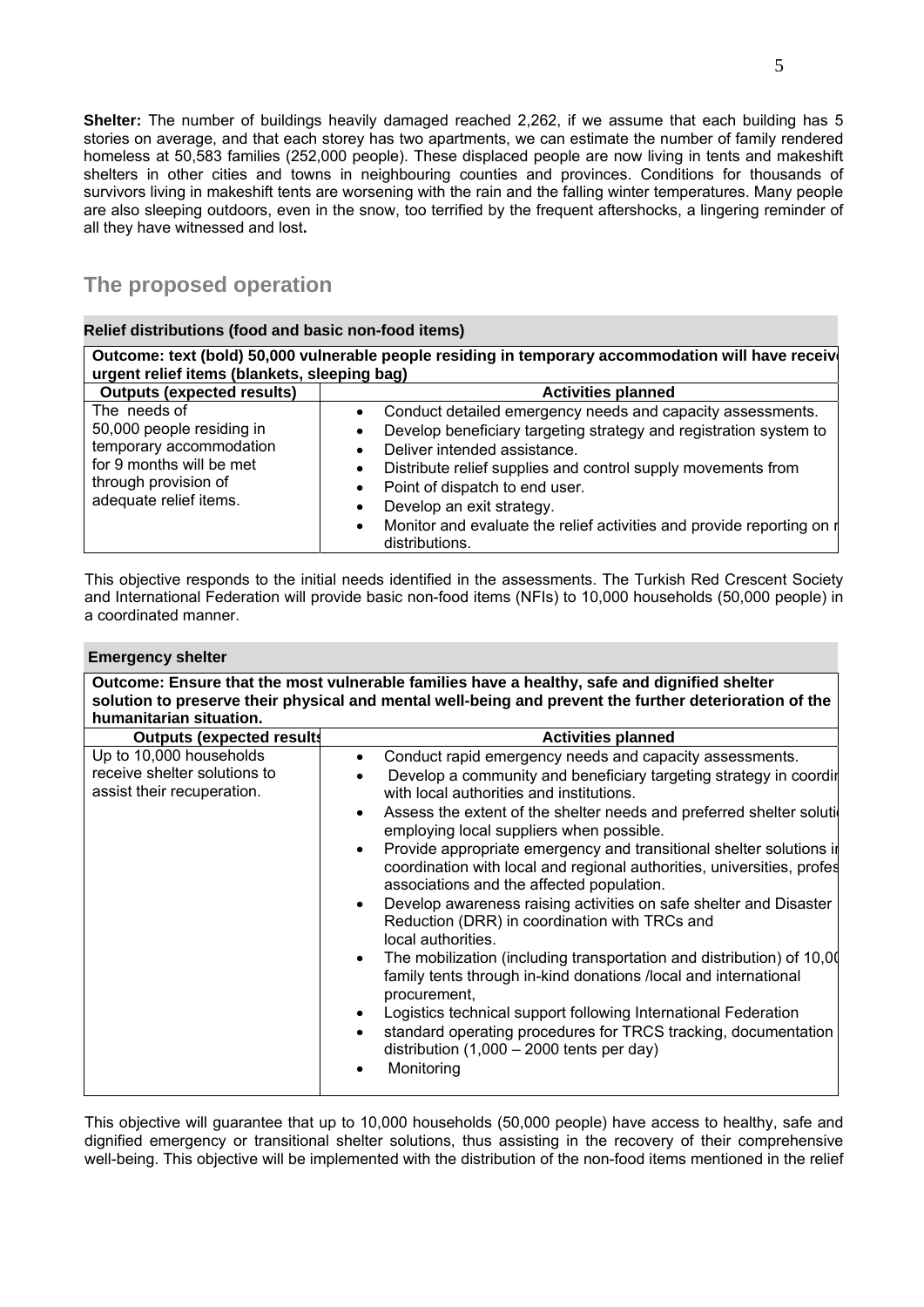**Shelter:** The number of buildings heavily damaged reached 2,262, if we assume that each building has 5 stories on average, and that each storey has two apartments, we can estimate the number of family rendered homeless at 50,583 families (252,000 people). These displaced people are now living in tents and makeshift shelters in other cities and towns in neighbouring counties and provinces. Conditions for thousands of survivors living in makeshift tents are worsening with the rain and the falling winter temperatures. Many people are also sleeping outdoors, even in the snow, too terrified by the frequent aftershocks, a lingering reminder of all they have witnessed and lost**.**

# **The proposed operation**

#### **Relief distributions (food and basic non-food items)**

**Outcome: text (bold) 50,000 vulnerable people residing in temporary accommodation will have receive urgent relief items (blankets, sleeping bag) Outputs (expected results)**  $\qquad$  **Activities planned** The needs of 50,000 people residing in temporary accommodation for 9 months will be met through provision of adequate relief items. Conduct detailed emergency needs and capacity assessments. Develop beneficiary targeting strategy and registration system to Deliver intended assistance. Distribute relief supplies and control supply movements from • Point of dispatch to end user.

• Develop an exit strategy.

• Monitor and evaluate the relief activities and provide reporting on a distributions.

This objective responds to the initial needs identified in the assessments. The Turkish Red Crescent Society and International Federation will provide basic non-food items (NFIs) to 10,000 households (50,000 people) in a coordinated manner.

#### **Emergency shelter**

**Outcome: Ensure that the most vulnerable families have a healthy, safe and dignified shelter solution to preserve their physical and mental well-being and prevent the further deterioration of the humanitarian situation.** 

| <b>Outputs (expected results</b>                                                      | <b>Activities planned</b>                                                                                                                                                                                                                                                                                                                                                                                                                                                                                                                                                                                                                                                                                                                                                                                                                                                                                                                                                                                                                                                          |
|---------------------------------------------------------------------------------------|------------------------------------------------------------------------------------------------------------------------------------------------------------------------------------------------------------------------------------------------------------------------------------------------------------------------------------------------------------------------------------------------------------------------------------------------------------------------------------------------------------------------------------------------------------------------------------------------------------------------------------------------------------------------------------------------------------------------------------------------------------------------------------------------------------------------------------------------------------------------------------------------------------------------------------------------------------------------------------------------------------------------------------------------------------------------------------|
| Up to 10,000 households<br>receive shelter solutions to<br>assist their recuperation. | Conduct rapid emergency needs and capacity assessments.<br>$\bullet$<br>Develop a community and beneficiary targeting strategy in coordir<br>with local authorities and institutions.<br>Assess the extent of the shelter needs and preferred shelter solution<br>$\bullet$<br>employing local suppliers when possible.<br>Provide appropriate emergency and transitional shelter solutions in<br>$\bullet$<br>coordination with local and regional authorities, universities, profes<br>associations and the affected population.<br>Develop awareness raising activities on safe shelter and Disaster<br>$\bullet$<br>Reduction (DRR) in coordination with TRCs and<br>local authorities.<br>The mobilization (including transportation and distribution) of 10,00<br>$\bullet$<br>family tents through in-kind donations /local and international<br>procurement,<br>Logistics technical support following International Federation<br>standard operating procedures for TRCS tracking, documentation<br>$\bullet$<br>distribution $(1,000 - 2000$ tents per day)<br>Monitoring |

This objective will guarantee that up to 10,000 households (50,000 people) have access to healthy, safe and dignified emergency or transitional shelter solutions, thus assisting in the recovery of their comprehensive well-being. This objective will be implemented with the distribution of the non-food items mentioned in the relief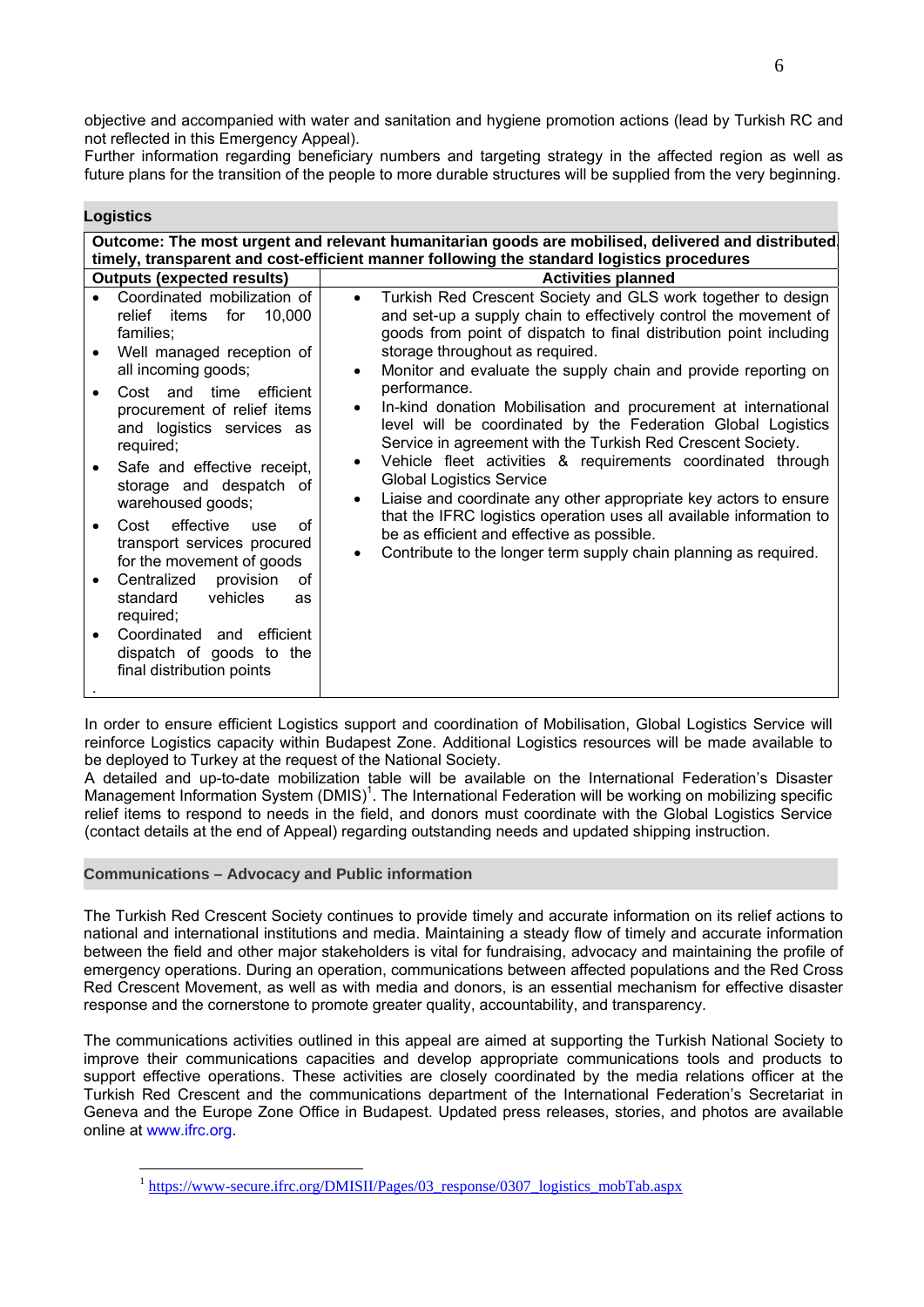objective and accompanied with water and sanitation and hygiene promotion actions (lead by Turkish RC and not reflected in this Emergency Appeal).

Further information regarding beneficiary numbers and targeting strategy in the affected region as well as future plans for the transition of the people to more durable structures will be supplied from the very beginning.

| Logistics |
|-----------|
|-----------|

| Outcome: The most urgent and relevant humanitarian goods are mobilised, delivered and distributed<br>timely, transparent and cost-efficient manner following the standard logistics procedures                                                                                                                                                                                                                                                                                                                                                                                        |                                                                                                                                                                                                                                                                                                                                                                                                                                                                                                                                                                                                                                                                                                                                                                                                                                                                                                                                                 |  |  |  |  |  |  |
|---------------------------------------------------------------------------------------------------------------------------------------------------------------------------------------------------------------------------------------------------------------------------------------------------------------------------------------------------------------------------------------------------------------------------------------------------------------------------------------------------------------------------------------------------------------------------------------|-------------------------------------------------------------------------------------------------------------------------------------------------------------------------------------------------------------------------------------------------------------------------------------------------------------------------------------------------------------------------------------------------------------------------------------------------------------------------------------------------------------------------------------------------------------------------------------------------------------------------------------------------------------------------------------------------------------------------------------------------------------------------------------------------------------------------------------------------------------------------------------------------------------------------------------------------|--|--|--|--|--|--|
| <b>Outputs (expected results)</b>                                                                                                                                                                                                                                                                                                                                                                                                                                                                                                                                                     | <b>Activities planned</b>                                                                                                                                                                                                                                                                                                                                                                                                                                                                                                                                                                                                                                                                                                                                                                                                                                                                                                                       |  |  |  |  |  |  |
| Coordinated mobilization of<br>relief items for<br>10,000<br>families;<br>Well managed reception of<br>all incoming goods;<br>Cost and time efficient<br>procurement of relief items<br>and logistics services as<br>required;<br>Safe and effective receipt,<br>storage and despatch of<br>warehoused goods;<br>effective<br>of<br>Cost<br><b>use</b><br>transport services procured<br>for the movement of goods<br>Centralized<br>provision<br>οf<br>standard<br>vehicles<br>as<br>required;<br>Coordinated and efficient<br>dispatch of goods to the<br>final distribution points | Turkish Red Crescent Society and GLS work together to design<br>$\bullet$<br>and set-up a supply chain to effectively control the movement of<br>goods from point of dispatch to final distribution point including<br>storage throughout as required.<br>Monitor and evaluate the supply chain and provide reporting on<br>$\bullet$<br>performance.<br>In-kind donation Mobilisation and procurement at international<br>$\bullet$<br>level will be coordinated by the Federation Global Logistics<br>Service in agreement with the Turkish Red Crescent Society.<br>Vehicle fleet activities & requirements coordinated through<br><b>Global Logistics Service</b><br>Liaise and coordinate any other appropriate key actors to ensure<br>$\bullet$<br>that the IFRC logistics operation uses all available information to<br>be as efficient and effective as possible.<br>Contribute to the longer term supply chain planning as required. |  |  |  |  |  |  |

In order to ensure efficient Logistics support and coordination of Mobilisation, Global Logistics Service will reinforce Logistics capacity within Budapest Zone. Additional Logistics resources will be made available to be deployed to Turkey at the request of the National Society.

A detailed and up-to-date mobilization table will be available on the International Federation's Disaster Management Information System (DMIS)<sup>1</sup>. The International Federation will be working on mobilizing specific relief items to respond to needs in the field, and donors must coordinate with the Global Logistics Service (contact details at the end of Appeal) regarding outstanding needs and updated shipping instruction.

#### **Communications – Advocacy and Public information**

1

The Turkish Red Crescent Society continues to provide timely and accurate information on its relief actions to national and international institutions and media. Maintaining a steady flow of timely and accurate information between the field and other major stakeholders is vital for fundraising, advocacy and maintaining the profile of emergency operations. During an operation, communications between affected populations and the Red Cross Red Crescent Movement, as well as with media and donors, is an essential mechanism for effective disaster response and the cornerstone to promote greater quality, accountability, and transparency.

The communications activities outlined in this appeal are aimed at supporting the Turkish National Society to improve their communications capacities and develop appropriate communications tools and products to support effective operations. These activities are closely coordinated by the media relations officer at the Turkish Red Crescent and the communications department of the International Federation's Secretariat in Geneva and the Europe Zone Office in Budapest. Updated press releases, stories, and photos are available online at www.ifrc.org.

<sup>&</sup>lt;sup>1</sup> https://www-secure.ifrc.org/DMISII/Pages/03\_response/0307\_logistics\_mobTab.aspx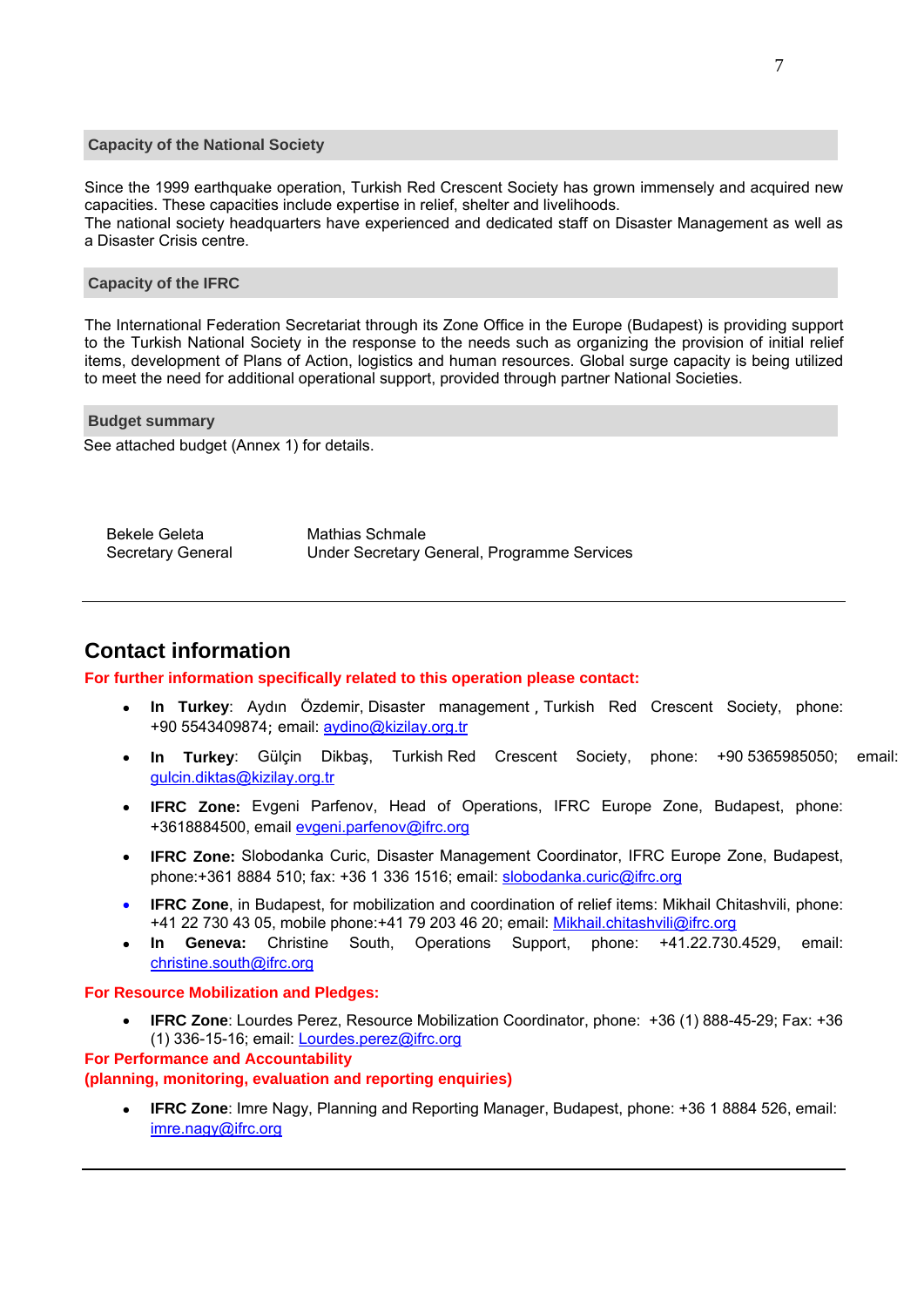#### <span id="page-6-0"></span>**Capacity of the National Society**

Since the 1999 earthquake operation, Turkish Red Crescent Society has grown immensely and acquired new capacities. These capacities include expertise in relief, shelter and livelihoods. The national society headquarters have experienced and dedicated staff on Disaster Management as well as a Disaster Crisis centre.

#### **Capacity of the IFRC**

The International Federation Secretariat through its Zone Office in the Europe (Budapest) is providing support to the Turkish National Society in the response to the needs such as organizing the provision of initial relief items, development of Plans of Action, logistics and human resources. Global surge capacity is being utilized to meet the need for additional operational support, provided through partner National Societies.

 **Budget summary** 

See attached budget (Annex 1) for details.

Bekele Geleta Mathias Schmale Secretary General Under Secretary General, Programme Services

# **Contact information**

#### **For further information specifically related to this operation please contact:**

- **In Turkey**: Aydın Özdemir, Disaster management , Turkish Red Crescent Society, phone: +90 5543409874; email: aydino@kizilay.org.tr
- **In Turkey**: Gülçin Dikbaş, Turkish Red Crescent Society, phone: +90 5365985050; email: gulcin.diktas@kizilay.org.tr
- **IFRC Zone:** Evgeni Parfenov, Head of Operations, IFRC Europe Zone, Budapest, phone: +3618884500, email evgeni.parfenov@ifrc.org
- **IFRC Zone:** Slobodanka Curic, Disaster Management Coordinator, IFRC Europe Zone, Budapest, phone:+361 8884 510; fax: +36 1 336 1516; email: slobodanka.curic@ifrc.org
- **IFRC Zone**, in Budapest, for mobilization and coordination of relief items: Mikhail Chitashvili, phone: +41 22 730 43 05, mobile phone:+41 79 203 46 20; email: Mikhail.chitashvili@ifrc.org
- **In Geneva:** Christine South, Operations Support, phone: +41.22.730.4529, email: christine.south@ifrc.org

#### **For Resource Mobilization and Pledges:**

 **IFRC Zone**: Lourdes Perez, Resource Mobilization Coordinator, phone: +36 (1) 888-45-29; Fax: +36 (1) 336-15-16; email: Lourdes.perez@ifrc.org

#### **For Performance and Accountability**

#### **(planning, monitoring, evaluation and reporting enquiries)**

 **IFRC Zone**: Imre Nagy, Planning and Reporting Manager, Budapest, phone: +36 1 8884 526, email: imre.nagy@ifrc.org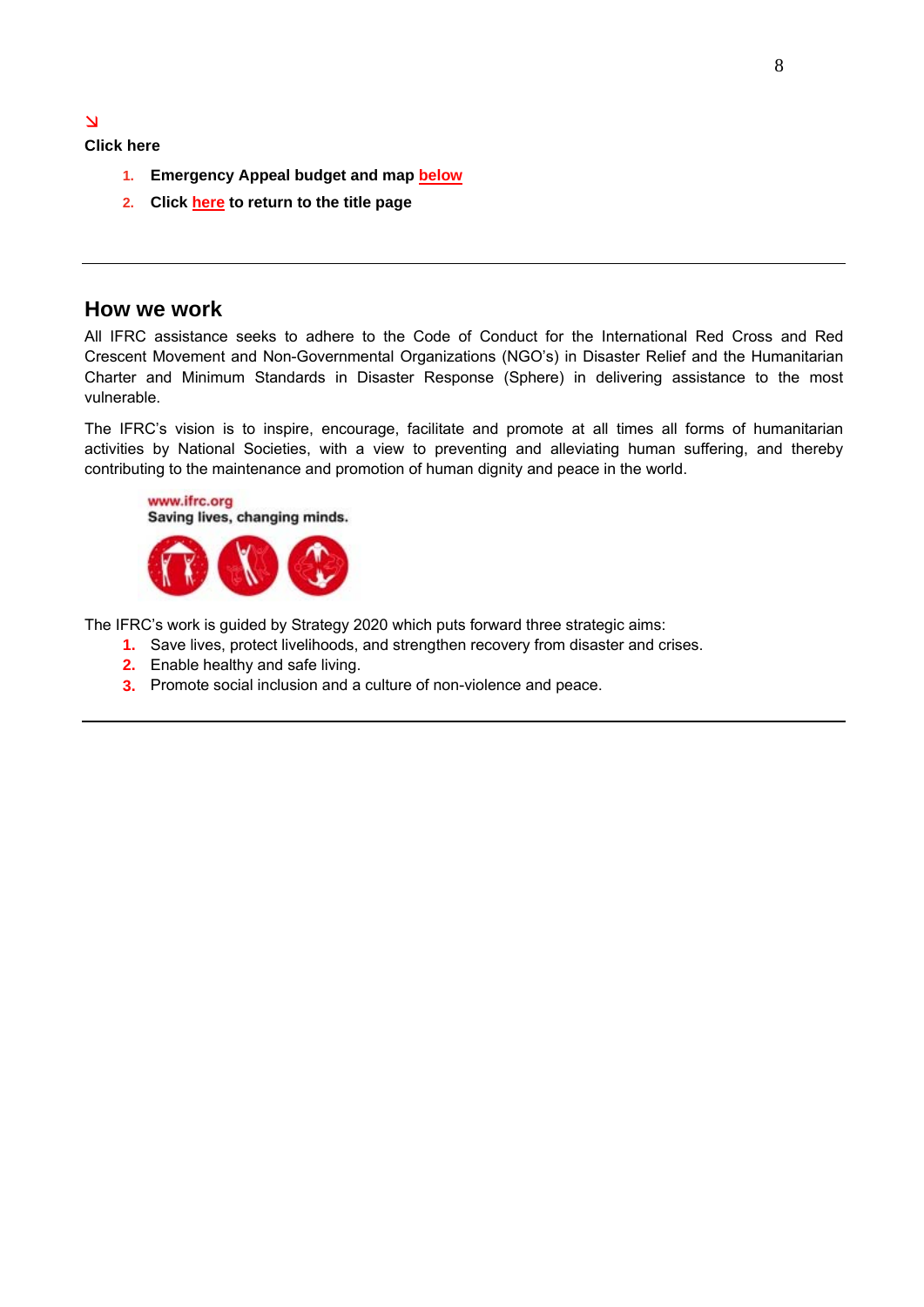**Click here** 

 $\overline{\Delta}$ 

- **1. Emergency Appeal budget and map [below](#page-8-0)**
- **2. Clic[k here](#page-0-0) to return to the title page**

## **How we work**

All IFRC assistance seeks to adhere to the Code of Conduct for the International Red Cross and Red Crescent Movement and Non-Governmental Organizations (NGO's) in Disaster Relief and the Humanitarian Charter and Minimum Standards in Disaster Response (Sphere) in delivering assistance to the most vulnerable.

The IFRC's vision is to inspire, encourage, facilitate and promote at all times all forms of humanitarian activities by National Societies, with a view to preventing and alleviating human suffering, and thereby contributing to the maintenance and promotion of human dignity and peace in the world.



The IFRC's work is guided by Strategy 2020 which puts forward three strategic aims:

- **1.** Save lives, protect livelihoods, and strengthen recovery from disaster and crises.
	- **2.** Enable healthy and safe living.
- **3.** Promote social inclusion and a culture of non-violence and peace.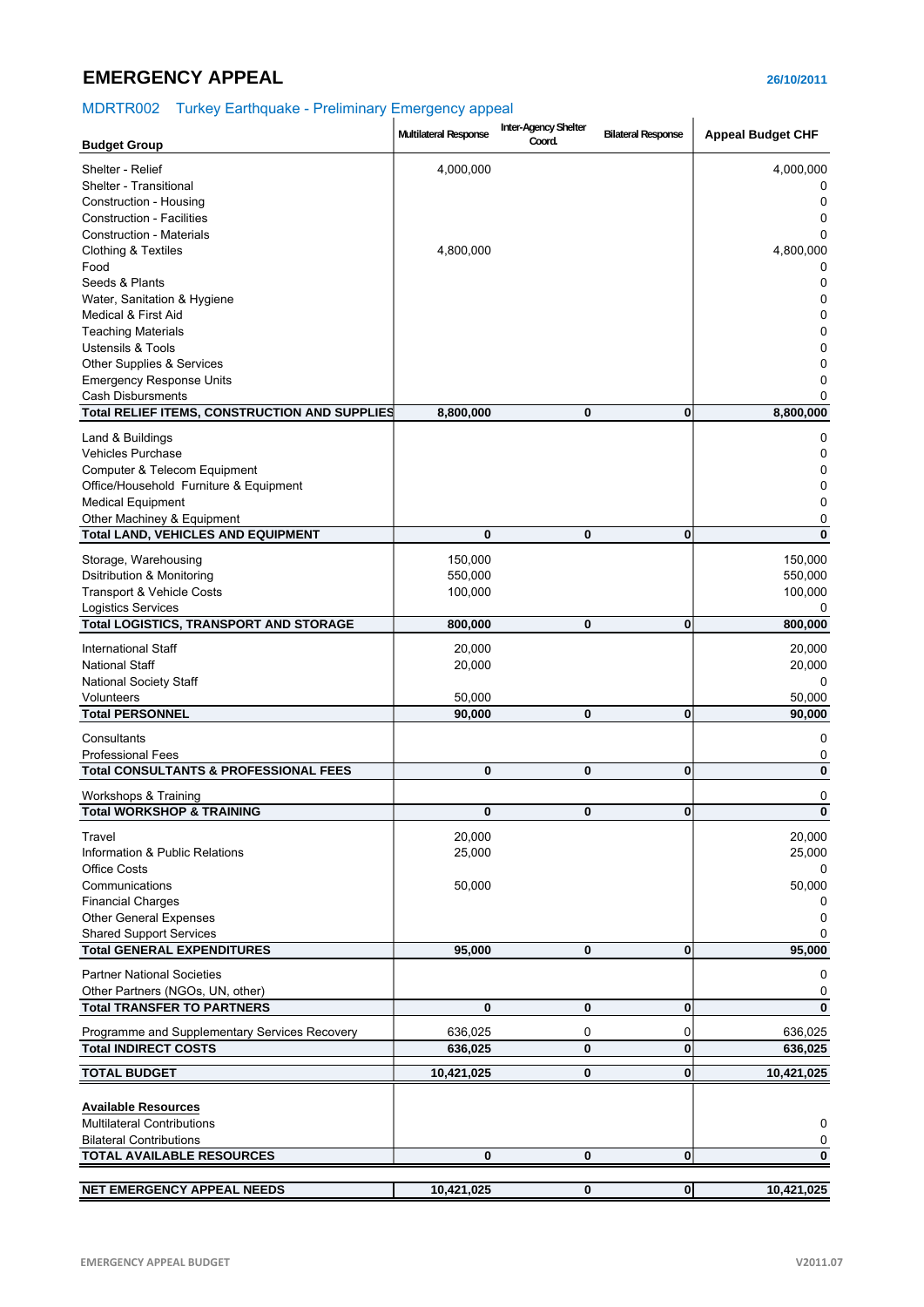# <span id="page-8-0"></span>**EMERGENCY APPEAL 26/10/2011**

# MDRTR002 Turkey Earthquake - Preliminary Emergency appeal

| <b>Budget Group</b>                              | Multilateral Response | Inter-Agency Shelter<br>Coord. | <b>Bilateral Response</b> | <b>Appeal Budget CHF</b> |
|--------------------------------------------------|-----------------------|--------------------------------|---------------------------|--------------------------|
|                                                  |                       |                                |                           |                          |
| Shelter - Relief<br>Shelter - Transitional       | 4,000,000             |                                |                           | 4,000,000<br>0           |
| Construction - Housing                           |                       |                                |                           | 0                        |
| <b>Construction - Facilities</b>                 |                       |                                |                           | 0                        |
| <b>Construction - Materials</b>                  |                       |                                |                           | 0                        |
| Clothing & Textiles                              | 4,800,000             |                                |                           | 4,800,000                |
| Food                                             |                       |                                |                           | 0                        |
| Seeds & Plants                                   |                       |                                |                           | 0                        |
| Water, Sanitation & Hygiene                      |                       |                                |                           | 0                        |
| Medical & First Aid                              |                       |                                |                           | 0                        |
| <b>Teaching Materials</b>                        |                       |                                |                           | 0                        |
| <b>Ustensils &amp; Tools</b>                     |                       |                                |                           | 0                        |
| Other Supplies & Services                        |                       |                                |                           | 0                        |
| <b>Emergency Response Units</b>                  |                       |                                |                           | 0                        |
| <b>Cash Disbursments</b>                         |                       |                                |                           | 0                        |
| Total RELIEF ITEMS, CONSTRUCTION AND SUPPLIES    | 8,800,000             | 0                              | $\bf{0}$                  | 8,800,000                |
| Land & Buildings                                 |                       |                                |                           | 0                        |
| <b>Vehicles Purchase</b>                         |                       |                                |                           | 0                        |
| Computer & Telecom Equipment                     |                       |                                |                           | 0                        |
| Office/Household Furniture & Equipment           |                       |                                |                           | 0                        |
| <b>Medical Equipment</b>                         |                       |                                |                           | 0                        |
| Other Machiney & Equipment                       |                       |                                |                           | 0                        |
| <b>Total LAND, VEHICLES AND EQUIPMENT</b>        | 0                     | 0                              | 0                         | 0                        |
| Storage, Warehousing                             | 150,000               |                                |                           | 150,000                  |
| Dsitribution & Monitoring                        | 550,000               |                                |                           | 550,000                  |
| Transport & Vehicle Costs                        | 100,000               |                                |                           | 100,000                  |
| <b>Logistics Services</b>                        |                       |                                |                           | 0                        |
| <b>Total LOGISTICS, TRANSPORT AND STORAGE</b>    | 800,000               | 0                              | 0                         | 800,000                  |
| <b>International Staff</b>                       | 20,000                |                                |                           | 20,000                   |
| <b>National Staff</b>                            | 20,000                |                                |                           | 20,000                   |
| <b>National Society Staff</b>                    |                       |                                |                           | 0                        |
| Volunteers                                       | 50,000                |                                |                           | 50,000                   |
| <b>Total PERSONNEL</b>                           | 90,000                | 0                              | 0                         | 90,000                   |
| Consultants                                      |                       |                                |                           | 0                        |
| <b>Professional Fees</b>                         |                       |                                |                           | 0                        |
| <b>Total CONSULTANTS &amp; PROFESSIONAL FEES</b> | 0                     | 0                              | 0                         | $\bf{0}$                 |
|                                                  |                       |                                |                           |                          |
| Workshops & Training                             |                       |                                |                           | 0<br>$\bf{0}$            |
| <b>Total WORKSHOP &amp; TRAINING</b>             | 0                     | 0                              | 0                         |                          |
| Travel                                           | 20,000                |                                |                           | 20,000                   |
| Information & Public Relations                   | 25,000                |                                |                           | 25,000                   |
| <b>Office Costs</b>                              |                       |                                |                           |                          |
| Communications                                   | 50,000                |                                |                           | 50,000                   |
| <b>Financial Charges</b>                         |                       |                                |                           | 0                        |
| <b>Other General Expenses</b>                    |                       |                                |                           | 0                        |
| <b>Shared Support Services</b>                   |                       |                                |                           | 0                        |
| <b>Total GENERAL EXPENDITURES</b>                | 95,000                | 0                              | 0                         | 95,000                   |
| <b>Partner National Societies</b>                |                       |                                |                           | 0                        |
| Other Partners (NGOs, UN, other)                 |                       |                                |                           | 0                        |
| <b>Total TRANSFER TO PARTNERS</b>                | 0                     | 0                              | 0                         | $\mathbf{0}$             |
| Programme and Supplementary Services Recovery    | 636,025               | 0                              | 0                         | 636,025                  |
| <b>Total INDIRECT COSTS</b>                      | 636,025               | 0                              | 0                         | 636,025                  |
|                                                  |                       |                                |                           |                          |
| <b>TOTAL BUDGET</b>                              | 10,421,025            | 0                              | 0                         | 10,421,025               |
| <b>Available Resources</b>                       |                       |                                |                           |                          |
| <b>Multilateral Contributions</b>                |                       |                                |                           | 0                        |
| <b>Bilateral Contributions</b>                   |                       |                                |                           | 0                        |
| <b>TOTAL AVAILABLE RESOURCES</b>                 | 0                     | $\bf{0}$                       | $\bf{0}$                  | 0                        |
|                                                  |                       |                                |                           |                          |
| NET EMERGENCY APPEAL NEEDS                       | 10,421,025            | 0                              | $\boldsymbol{0}$          | 10,421,025               |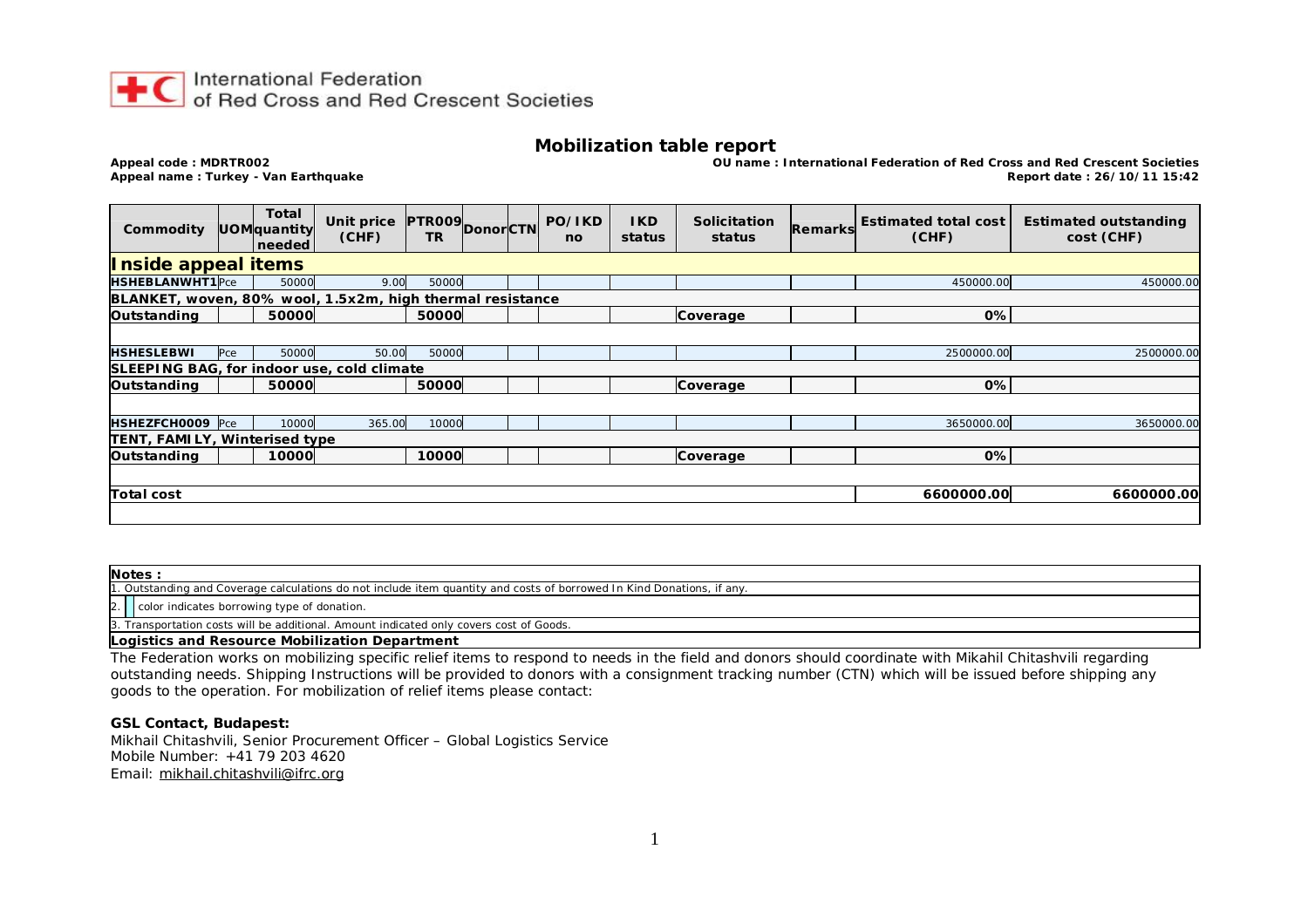

#### **Mobilization table report**

**Appeal code : MDRTR002 OU name : International Federation of Red Cross and Red Crescent Societies Appeal name : Turkey - Van Earthquake Report date : 26/10/11 15:42**

| Commodity                                                 |     | <b>Total</b><br>UOMquantity<br>needed | Unit price<br>(CHF) | <b>TR</b> |  |  | <b>PTR009</b> Donor CTN PO/IKD<br>no | <b>IKD</b><br>status | <b>Solicitation</b><br>status | Remarks | Estimated total cost  <br>(CHF) | <b>Estimated outstanding</b><br>cost (CHF) |
|-----------------------------------------------------------|-----|---------------------------------------|---------------------|-----------|--|--|--------------------------------------|----------------------|-------------------------------|---------|---------------------------------|--------------------------------------------|
| Inside appeal items                                       |     |                                       |                     |           |  |  |                                      |                      |                               |         |                                 |                                            |
| HSHEBLANWHT1Pce                                           |     | 50000                                 | 9.00                | 50000     |  |  |                                      |                      |                               |         | 450000.00                       | 450000.00                                  |
| BLANKET, woven, 80% wool, 1.5x2m, high thermal resistance |     |                                       |                     |           |  |  |                                      |                      |                               |         |                                 |                                            |
| Outstanding                                               |     | 50000                                 |                     | 50000     |  |  |                                      |                      | Coverage                      |         | 0%                              |                                            |
|                                                           |     |                                       |                     |           |  |  |                                      |                      |                               |         |                                 |                                            |
| <b>HSHESLEBWI</b>                                         | Pce | 50000                                 | 50.00               | 50000     |  |  |                                      |                      |                               |         | 2500000.00                      | 2500000.00                                 |
| SLEEPING BAG, for indoor use, cold climate                |     |                                       |                     |           |  |  |                                      |                      |                               |         |                                 |                                            |
| Outstanding                                               |     | 50000                                 |                     | 50000     |  |  |                                      |                      | Coverage                      |         | 0%                              |                                            |
|                                                           |     |                                       |                     |           |  |  |                                      |                      |                               |         |                                 |                                            |
| HSHEZFCH0009 Pce                                          |     | 10000                                 | 365.00              | 10000     |  |  |                                      |                      |                               |         | 3650000.00                      | 3650000.00                                 |
| TENT, FAMILY, Winterised type                             |     |                                       |                     |           |  |  |                                      |                      |                               |         |                                 |                                            |
| Outstanding                                               |     | 10000                                 |                     | 10000     |  |  |                                      |                      | Coverage                      |         | 0%                              |                                            |
|                                                           |     |                                       |                     |           |  |  |                                      |                      |                               |         |                                 |                                            |
| <b>Total cost</b>                                         |     |                                       |                     |           |  |  |                                      |                      |                               |         | 6600000.00                      | 6600000.00                                 |
|                                                           |     |                                       |                     |           |  |  |                                      |                      |                               |         |                                 |                                            |

**Notes :** 1. Outstanding and Coverage calculations do not include item quantity and costs of borrowed In Kind Donations, if any.  $|2.$   $|$  color indicates borrowing type of donation. 3. Transportation costs will be additional. Amount indicated only covers cost of Goods.

**Logistics and Resource Mobilization Department**

The Federation works on mobilizing specific relief items to respond to needs in the field and donors should coordinate with Mikahil Chitashvili regarding outstanding needs. Shipping Instructions will be provided to donors with a consignment tracking number (CTN) which will be issued before shipping any goods to the operation. For mobilization of relief items please contact:

**GSL Contact, Budapest:** 

Mikhail Chitashvili, Senior Procurement Officer – Global Logistics Service Mobile Number: +41 79 203 4620 Email: [mikhail.chitashvili@ifrc.org](mailto:mikhail.chitashvili@ifrc.org)